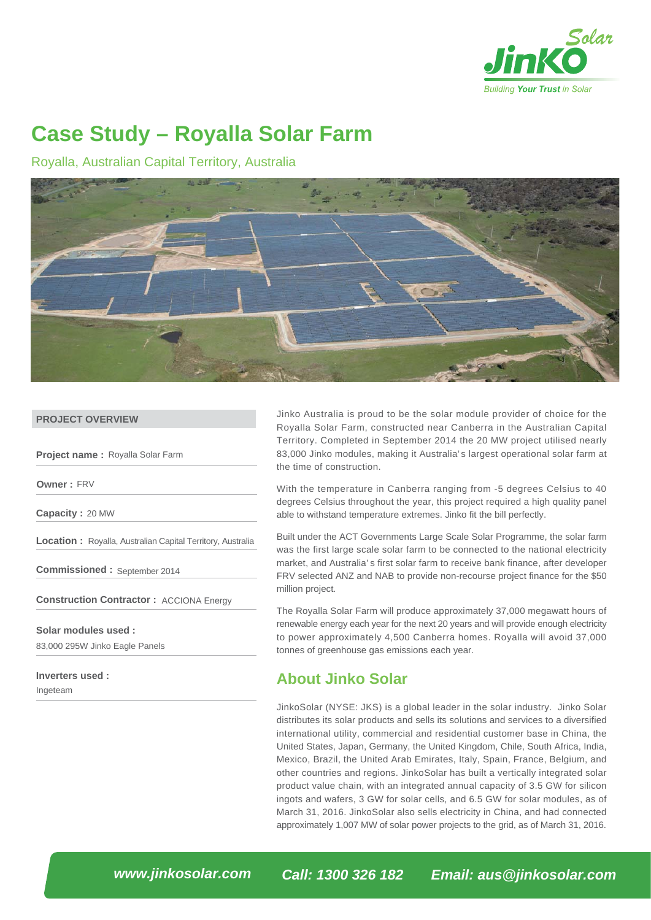

# **Case Study – Royalla Solar Farm**

Royalla, Australian Capital Territory, Australia



#### **PROJECT OVERVIEW**

**Project name :** Royalla Solar Farm

**Owner :** FRV

**Capacity :** 20 MW

**Location :** Royalla, Australian Capital Territory, Australia

**Commissioned :** September 2014

Construction Contractor : ACCIONA Energy

83,000 295W Jinko Eagle Panels **Solar modules used :**

**Inverters used :** 

Ingeteam

Jinko Australia is proud to be the solar module provider of choice for the Royalla Solar Farm, constructed near Canberra in the Australian Capital Territory. Completed in September 2014 the 20 MW project utilised nearly 83,000 Jinko modules, making it Australia's largest operational solar farm at the time of construction.

With the temperature in Canberra ranging from -5 degrees Celsius to 40 degrees Celsius throughout the year, this project required a high quality panel able to withstand temperature extremes. Jinko fit the bill perfectly.

Built under the ACT Governments Large Scale Solar Programme, the solar farm was the first large scale solar farm to be connected to the national electricity market, and Australia' s first solar farm to receive bank finance, after developer FRV selected ANZ and NAB to provide non-recourse project finance for the \$50 million project.

The Royalla Solar Farm will produce approximately 37,000 megawatt hours of renewable energy each year for the next 20 years and will provide enough electricity to power approximately 4,500 Canberra homes. Royalla will avoid 37,000 tonnes of greenhouse gas emissions each year.

### **About Jinko Solar**

JinkoSolar (NYSE: JKS) is a global leader in the solar industry. Jinko Solar distributes its solar products and sells its solutions and services to a diversified international utility, commercial and residential customer base in China, the United States, Japan, Germany, the United Kingdom, Chile, South Africa, India, Mexico, Brazil, the United Arab Emirates, Italy, Spain, France, Belgium, and other countries and regions. JinkoSolar has built a vertically integrated solar product value chain, with an integrated annual capacity of 3.5 GW for silicon ingots and wafers, 3 GW for solar cells, and 6.5 GW for solar modules, as of March 31, 2016. JinkoSolar also sells electricity in China, and had connected approximately 1,007 MW of solar power projects to the grid, as of March 31, 2016.